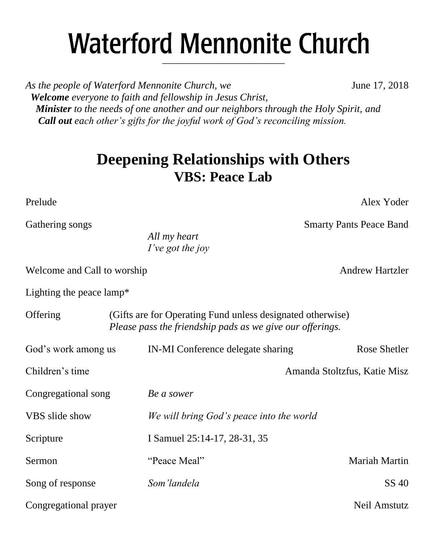# **Waterford Mennonite Church** \_\_\_\_\_\_\_\_\_\_\_\_\_\_\_\_\_\_\_\_\_\_\_\_

*As the people of Waterford Mennonite Church, we* **June 17, 2018**  *Welcome everyone to faith and fellowship in Jesus Christ, Minister to the needs of one another and our neighbors through the Holy Spirit, and Call out each other's gifts for the joyful work of God's reconciling mission.*

# **Deepening Relationships with Others VBS: Peace Lab**

Prelude Alex Yoder

Gathering songs Smarty Pants Peace Band

*All my heart I've got the joy*

Welcome and Call to worship Andrew Hartzler

Lighting the peace lamp\*

| (Gifts are for Operating Fund unless designated otherwise)<br>Offering<br>Please pass the friendship pads as we give our offerings. |                                          |                              |  |
|-------------------------------------------------------------------------------------------------------------------------------------|------------------------------------------|------------------------------|--|
| God's work among us                                                                                                                 | IN-MI Conference delegate sharing        | Rose Shetler                 |  |
| Children's time                                                                                                                     |                                          | Amanda Stoltzfus, Katie Misz |  |
| Congregational song                                                                                                                 | Be a sower                               |                              |  |
| VBS slide show                                                                                                                      | We will bring God's peace into the world |                              |  |
| Scripture                                                                                                                           | I Samuel 25:14-17, 28-31, 35             |                              |  |
| <b>Sermon</b>                                                                                                                       | "Peace Meal"                             | Mariah Martin                |  |
| Song of response                                                                                                                    | Som'landela                              | SS 40                        |  |
| Congregational prayer                                                                                                               |                                          | Neil Amstutz                 |  |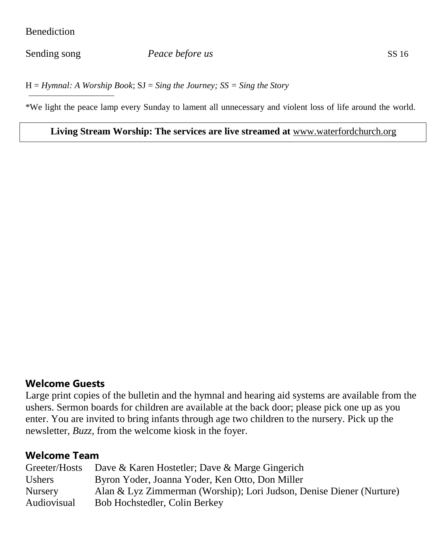#### Benediction

#### Sending song *Peace before us* SS 16

H = *Hymnal: A Worship Book*; SJ = *Sing the Journey; SS = Sing the Story*

\*We light the peace lamp every Sunday to lament all unnecessary and violent loss of life around the world.

#### **Living Stream Worship: The services are live streamed at** [www.waterfordchurch.org](http://www.waterfordchurch.org/)

#### **Welcome Guests**

Large print copies of the bulletin and the hymnal and hearing aid systems are available from the ushers. Sermon boards for children are available at the back door; please pick one up as you enter. You are invited to bring infants through age two children to the nursery. Pick up the newsletter, *Buzz,* from the welcome kiosk in the foyer.

## **Welcome Team**

| Greeter/Hosts  | Dave & Karen Hostetler; Dave & Marge Gingerich                       |
|----------------|----------------------------------------------------------------------|
| <b>Ushers</b>  | Byron Yoder, Joanna Yoder, Ken Otto, Don Miller                      |
| <b>Nursery</b> | Alan & Lyz Zimmerman (Worship); Lori Judson, Denise Diener (Nurture) |
| Audiovisual    | Bob Hochstedler, Colin Berkey                                        |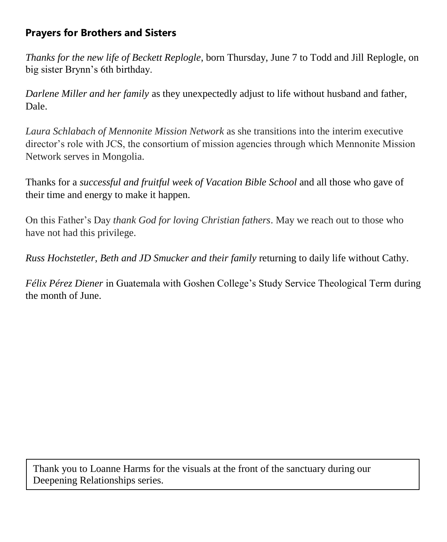# **Prayers for Brothers and Sisters**

*Thanks for the new life of Beckett Replogle*, born Thursday, June 7 to Todd and Jill Replogle, on big sister Brynn's 6th birthday.

*Darlene Miller and her family* as they unexpectedly adjust to life without husband and father, Dale.

*Laura Schlabach of Mennonite Mission Network* as she transitions into the interim executive director's role with JCS, the consortium of mission agencies through which Mennonite Mission Network serves in Mongolia.

Thanks for a *successful and fruitful week of Vacation Bible School* and all those who gave of their time and energy to make it happen.

On this Father's Day *thank God for loving Christian fathers*. May we reach out to those who have not had this privilege.

*Russ Hochstetler, Beth and JD Smucker and their family* returning to daily life without Cathy.

*Félix Pérez Diener* in Guatemala with Goshen College's Study Service Theological Term during the month of June.

Thank you to Loanne Harms for the visuals at the front of the sanctuary during our Deepening Relationships series.